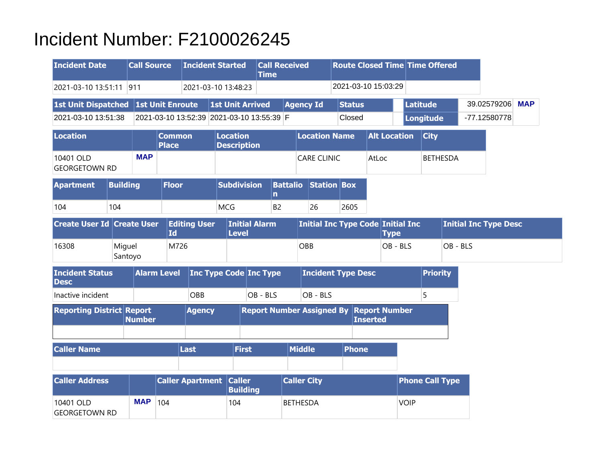## Incident Number: F2100026245

| <b>Incident Date</b>                  |                 | <b>Call Source</b> |                               | <b>Incident Started</b>                   |                 |                               | <b>Call Received</b><br><b>Time</b> |                 |                                                |      | <b>Route Closed Time Time Offered</b> |                     |             |                  |                        |          |                              |            |
|---------------------------------------|-----------------|--------------------|-------------------------------|-------------------------------------------|-----------------|-------------------------------|-------------------------------------|-----------------|------------------------------------------------|------|---------------------------------------|---------------------|-------------|------------------|------------------------|----------|------------------------------|------------|
| 2021-03-10 13:51:11                   |                 | 911                |                               | 2021-03-10 13:48:23                       |                 |                               |                                     |                 |                                                |      | 2021-03-10 15:03:29                   |                     |             |                  |                        |          |                              |            |
| 1st Unit Dispatched 1st Unit Enroute  |                 |                    |                               |                                           |                 | <b>1st Unit Arrived</b>       |                                     |                 | <b>Agency Id</b>                               |      | <b>Status</b>                         |                     |             | <b>Latitude</b>  |                        |          | 39.02579206                  | <b>MAP</b> |
| 2021-03-10 13:51:38                   |                 |                    |                               | 2021-03-10 13:52:39 2021-03-10 13:55:39 F |                 |                               |                                     |                 |                                                |      | Closed                                |                     |             | <b>Longitude</b> |                        |          | -77.12580778                 |            |
| Location                              |                 |                    | <b>Common</b><br><b>Place</b> |                                           | <b>Location</b> | <b>Description</b>            |                                     |                 | <b>Location Name</b>                           |      |                                       | <b>Alt Location</b> |             |                  | <b>City</b>            |          |                              |            |
| 10401 OLD<br><b>GEORGETOWN RD</b>     |                 | <b>MAP</b>         |                               |                                           |                 |                               |                                     |                 | <b>CARE CLINIC</b>                             |      | AtLoc                                 |                     |             |                  | <b>BETHESDA</b>        |          |                              |            |
| <b>Apartment</b>                      | <b>Building</b> |                    | <b>Floor</b>                  |                                           |                 | <b>Subdivision</b>            | n                                   |                 | <b>Battalio Station Box</b>                    |      |                                       |                     |             |                  |                        |          |                              |            |
| 104                                   | 104             |                    |                               |                                           | <b>MCG</b>      |                               | B <sub>2</sub>                      |                 | 26                                             | 2605 |                                       |                     |             |                  |                        |          |                              |            |
| <b>Create User Id Create User</b>     |                 |                    | <b>Id</b>                     | <b>Editing User</b>                       |                 | <b>Initial Alarm</b><br>Level |                                     |                 | Initial Inc Type Code Initial Inc              |      |                                       | <b>Type</b>         |             |                  |                        |          | <b>Initial Inc Type Desc</b> |            |
| 16308                                 | Miguel          | Santoyo            | M726                          |                                           |                 |                               |                                     | OBB             |                                                |      |                                       |                     | OB - BLS    |                  |                        | OB - BLS |                              |            |
| <b>Incident Status</b><br><b>Desc</b> |                 |                    | <b>Alarm Level</b>            |                                           |                 | <b>Inc Type Code Inc Type</b> |                                     |                 | <b>Incident Type Desc</b>                      |      |                                       |                     |             |                  | <b>Priority</b>        |          |                              |            |
| Inactive incident                     |                 |                    |                               | OBB                                       |                 | OB - BLS                      |                                     |                 | OB - BLS                                       |      |                                       |                     |             | 5                |                        |          |                              |            |
| <b>Reporting District Report</b>      |                 | <b>Number</b>      |                               | <b>Agency</b>                             |                 |                               |                                     |                 | <b>Report Number Assigned By Report Number</b> |      | <b>Inserted</b>                       |                     |             |                  |                        |          |                              |            |
|                                       |                 |                    |                               |                                           |                 |                               |                                     |                 |                                                |      |                                       |                     |             |                  |                        |          |                              |            |
| <b>Caller Name</b>                    |                 |                    |                               | Last                                      |                 | <b>First</b>                  |                                     | <b>Middle</b>   |                                                |      | <b>Phone</b>                          |                     |             |                  |                        |          |                              |            |
| <b>Caller Address</b>                 |                 |                    |                               | <b>Caller Apartment Caller</b>            |                 | <b>Building</b>               |                                     |                 | <b>Caller City</b>                             |      |                                       |                     |             |                  | <b>Phone Call Type</b> |          |                              |            |
| 10401 OLD<br><b>GEORGETOWN RD</b>     |                 | <b>MAP</b>         | 104                           |                                           | 104             |                               |                                     | <b>BETHESDA</b> |                                                |      |                                       |                     | <b>VOIP</b> |                  |                        |          |                              |            |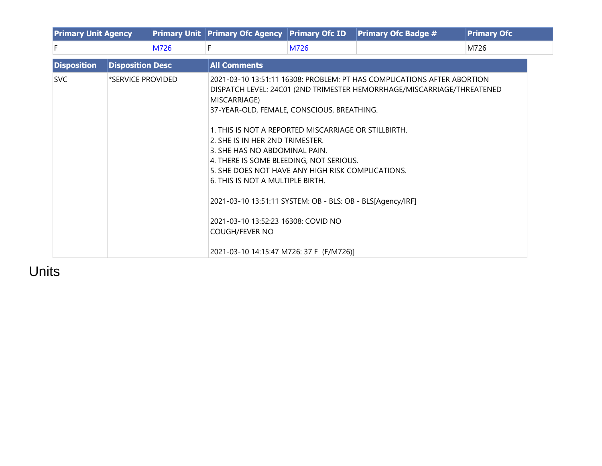|                    | <b>Primary Unit Agency</b> |      | <b>Primary Unit Primary Ofc Agency</b>                                                                                                                                                                                                                                                                                                                                                                                                                                                               | <b>Primary Ofc ID</b> | <b>Primary Ofc</b>                                                                                                                                |      |  |  |  |  |  |
|--------------------|----------------------------|------|------------------------------------------------------------------------------------------------------------------------------------------------------------------------------------------------------------------------------------------------------------------------------------------------------------------------------------------------------------------------------------------------------------------------------------------------------------------------------------------------------|-----------------------|---------------------------------------------------------------------------------------------------------------------------------------------------|------|--|--|--|--|--|
| F                  |                            | M726 | F.                                                                                                                                                                                                                                                                                                                                                                                                                                                                                                   | M726                  |                                                                                                                                                   | M726 |  |  |  |  |  |
| <b>Disposition</b> | <b>Disposition Desc</b>    |      | <b>All Comments</b>                                                                                                                                                                                                                                                                                                                                                                                                                                                                                  |                       |                                                                                                                                                   |      |  |  |  |  |  |
| <b>SVC</b>         | *SERVICE PROVIDED          |      | MISCARRIAGE)<br>37-YEAR-OLD, FEMALE, CONSCIOUS, BREATHING.<br>1. THIS IS NOT A REPORTED MISCARRIAGE OR STILLBIRTH.<br>2. SHE IS IN HER 2ND TRIMESTER.<br>3. SHE HAS NO ABDOMINAL PAIN.<br>4. THERE IS SOME BLEEDING, NOT SERIOUS.<br>5. SHE DOES NOT HAVE ANY HIGH RISK COMPLICATIONS.<br>6. THIS IS NOT A MULTIPLE BIRTH.<br>2021-03-10 13:51:11 SYSTEM: OB - BLS: OB - BLS[Agency/IRF]<br>2021-03-10 13:52:23 16308: COVID NO<br><b>COUGH/FEVER NO</b><br>2021-03-10 14:15:47 M726: 37 F (F/M726)] |                       | 2021-03-10 13:51:11 16308: PROBLEM: PT HAS COMPLICATIONS AFTER ABORTION<br>DISPATCH LEVEL: 24C01 (2ND TRIMESTER HEMORRHAGE/MISCARRIAGE/THREATENED |      |  |  |  |  |  |

Units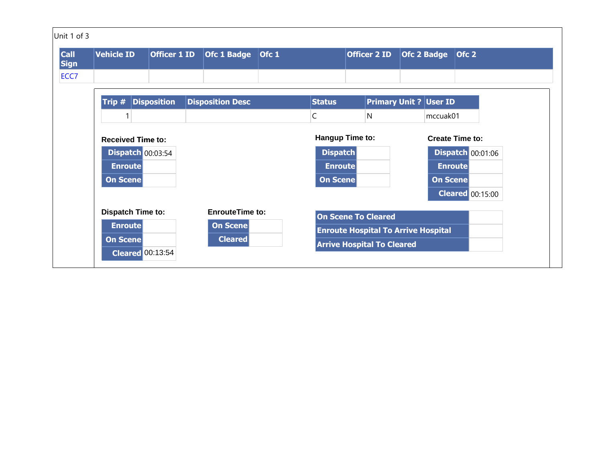| Unit 1 of 3                        |                                     |                     |                         |                 |                                            |                   |                          |
|------------------------------------|-------------------------------------|---------------------|-------------------------|-----------------|--------------------------------------------|-------------------|--------------------------|
| <b>Call</b><br><b>Sign</b><br>ECC7 | <b>Vehicle ID</b>                   | <b>Officer 1 ID</b> | Ofc 1 Badge Ofc 1       |                 | <b>Officer 2 ID</b>                        | Ofc 2 Badge Ofc 2 |                          |
|                                    | Trip #                              | <b>Disposition</b>  | <b>Disposition Desc</b> | <b>Status</b>   | <b>Primary Unit ? User ID</b>              |                   |                          |
|                                    |                                     |                     |                         | $\mathsf C$     | N                                          | mccuak01          |                          |
|                                    | <b>Received Time to:</b>            |                     |                         | Hangup Time to: |                                            |                   | <b>Create Time to:</b>   |
|                                    | <b>Dispatch 00:03:54</b>            |                     |                         | <b>Dispatch</b> |                                            |                   | <b>Dispatch 00:01:06</b> |
|                                    | <b>Enroute</b>                      |                     |                         | <b>Enroute</b>  |                                            | <b>Enroute</b>    |                          |
|                                    | <b>On Scene</b>                     |                     |                         | On Scene        |                                            | <b>On Scene</b>   |                          |
|                                    |                                     |                     |                         |                 |                                            |                   | <b>Cleared</b> 00:15:00  |
|                                    | <b>Dispatch Time to:</b>            |                     | <b>EnrouteTime to:</b>  |                 | <b>On Scene To Cleared</b>                 |                   |                          |
|                                    | <b>Enroute</b>                      |                     | On Scene                |                 | <b>Enroute Hospital To Arrive Hospital</b> |                   |                          |
|                                    | On Scene<br><b>Cleared</b> 00:13:54 |                     | <b>Cleared</b>          |                 | <b>Arrive Hospital To Cleared</b>          |                   |                          |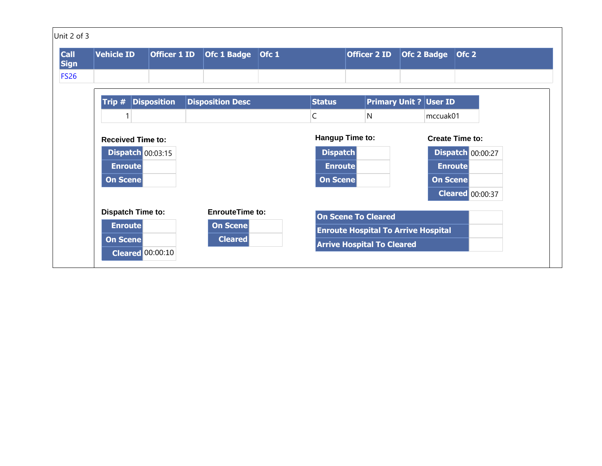| Unit 2 of 3                               |                                                       |                     |                                   |       |                                   |                                                                                 |                   |                |                          |
|-------------------------------------------|-------------------------------------------------------|---------------------|-----------------------------------|-------|-----------------------------------|---------------------------------------------------------------------------------|-------------------|----------------|--------------------------|
| <b>Call</b><br><b>Sign</b><br><b>FS26</b> | <b>Vehicle ID</b>                                     | <b>Officer 1 ID</b> | <b>Ofc 1 Badge</b>                | Ofc 1 |                                   | <b>Officer 2 ID</b>                                                             | Ofc 2 Badge Ofc 2 |                |                          |
|                                           | Trip #                                                | <b>Disposition</b>  | <b>Disposition Desc</b>           |       | <b>Status</b>                     | <b>Primary Unit ? User ID</b>                                                   |                   |                |                          |
|                                           |                                                       |                     |                                   |       | $\mathsf{C}$                      | $\mathsf{N}$                                                                    |                   | mccuak01       |                          |
|                                           | <b>Received Time to:</b>                              |                     |                                   |       |                                   | Hangup Time to:                                                                 |                   |                | <b>Create Time to:</b>   |
|                                           | <b>Dispatch 00:03:15</b><br><b>Enroute</b>            |                     |                                   |       | <b>Dispatch</b><br><b>Enroute</b> |                                                                                 |                   | <b>Enroute</b> | <b>Dispatch 00:00:27</b> |
|                                           | On Scene                                              |                     |                                   |       | On Scene                          |                                                                                 |                   | On Scene       |                          |
|                                           | <b>Dispatch Time to:</b>                              |                     | <b>EnrouteTime to:</b>            |       |                                   | <b>On Scene To Cleared</b>                                                      |                   |                | <b>Cleared</b> 00:00:37  |
|                                           | <b>Enroute</b><br>On Scene<br><b>Cleared</b> 00:00:10 |                     | <b>On Scene</b><br><b>Cleared</b> |       |                                   | <b>Enroute Hospital To Arrive Hospital</b><br><b>Arrive Hospital To Cleared</b> |                   |                |                          |
|                                           |                                                       |                     |                                   |       |                                   |                                                                                 |                   |                |                          |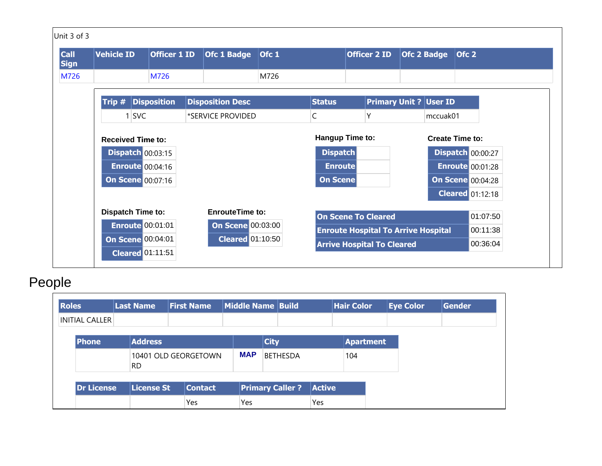| <b>Call</b><br><b>Sign</b> | <b>Vehicle ID</b>        | <b>Officer 1 ID</b> |  | <b>Ofc 1 Badge</b>       | Ofc 1 |                 | <b>Officer 2 ID</b>                        |  | <b>Ofc 2 Badge</b>     | Ofc 2                    |          |
|----------------------------|--------------------------|---------------------|--|--------------------------|-------|-----------------|--------------------------------------------|--|------------------------|--------------------------|----------|
| M726                       |                          | M726                |  |                          | M726  |                 |                                            |  |                        |                          |          |
|                            | Trip #                   | <b>Disposition</b>  |  | <b>Disposition Desc</b>  |       | <b>Status</b>   | <b>Primary Unit ? User ID</b>              |  |                        |                          |          |
|                            | <b>SVC</b>               |                     |  | *SERVICE PROVIDED        |       | $\mathsf{C}$    | Υ                                          |  | mccuak01               |                          |          |
|                            | <b>Received Time to:</b> |                     |  |                          |       |                 | Hangup Time to:                            |  | <b>Create Time to:</b> |                          |          |
|                            | <b>Dispatch 00:03:15</b> |                     |  |                          |       | <b>Dispatch</b> |                                            |  |                        | <b>Dispatch 00:00:27</b> |          |
|                            | <b>Enroute 00:04:16</b>  |                     |  |                          |       | <b>Enroute</b>  |                                            |  |                        | <b>Enroute 00:01:28</b>  |          |
|                            | <b>On Scene 00:07:16</b> |                     |  |                          |       | On Scene        |                                            |  |                        | <b>On Scene 00:04:28</b> |          |
|                            |                          |                     |  |                          |       |                 |                                            |  |                        | <b>Cleared</b> 01:12:18  |          |
|                            | <b>Dispatch Time to:</b> |                     |  | <b>EnrouteTime to:</b>   |       |                 | <b>On Scene To Cleared</b>                 |  |                        |                          | 01:07:50 |
|                            | <b>Enroute 00:01:01</b>  |                     |  | <b>On Scene 00:03:00</b> |       |                 | <b>Enroute Hospital To Arrive Hospital</b> |  |                        |                          | 00:11:38 |
|                            | <b>On Scene 00:04:01</b> |                     |  | <b>Cleared</b> 01:10:50  |       |                 | <b>Arrive Hospital To Cleared</b>          |  |                        |                          | 00:36:04 |

## People

| <b>Roles</b>          | <b>Last Name</b>  | <b>First Name</b>    | Middle Name Build |                        |                 |               | <b>Hair Color</b> | <b>Eye Color</b> | <b>Gender</b> |
|-----------------------|-------------------|----------------------|-------------------|------------------------|-----------------|---------------|-------------------|------------------|---------------|
| <b>INITIAL CALLER</b> |                   |                      |                   |                        |                 |               |                   |                  |               |
| <b>Phone</b>          | <b>Address</b>    |                      |                   | <b>City</b>            |                 |               | <b>Apartment</b>  |                  |               |
|                       | <b>RD</b>         | 10401 OLD GEORGETOWN |                   |                        | <b>BETHESDA</b> |               | 104               |                  |               |
| <b>Dr License</b>     | <b>License St</b> | <b>Contact</b>       |                   | <b>Primary Caller?</b> |                 | <b>Active</b> |                   |                  |               |
|                       |                   | Yes                  | Yes               |                        |                 | Yes           |                   |                  |               |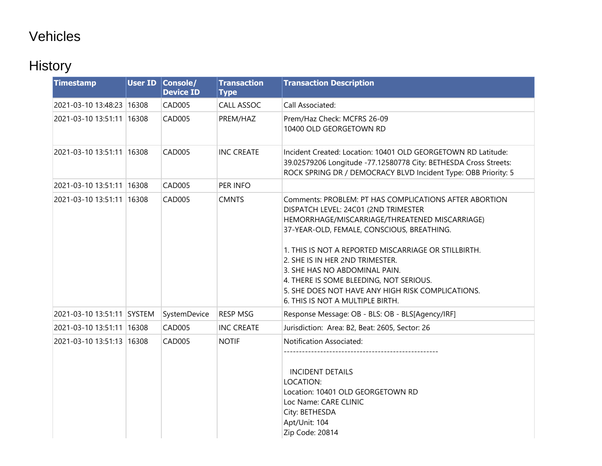## Vehicles

## **History**

| <b>Timestamp</b>           | <b>User ID Console/</b><br><b>Device ID</b> | <b>Transaction</b><br><b>Type</b> | <b>Transaction Description</b>                                                                                                                                                                                                                                                                                                                                                                                                                                 |
|----------------------------|---------------------------------------------|-----------------------------------|----------------------------------------------------------------------------------------------------------------------------------------------------------------------------------------------------------------------------------------------------------------------------------------------------------------------------------------------------------------------------------------------------------------------------------------------------------------|
| 2021-03-10 13:48:23 16308  | <b>CAD005</b>                               | CALL ASSOC                        | Call Associated:                                                                                                                                                                                                                                                                                                                                                                                                                                               |
| 2021-03-10 13:51:11 16308  | CAD005                                      | PREM/HAZ                          | Prem/Haz Check: MCFRS 26-09<br>10400 OLD GEORGETOWN RD                                                                                                                                                                                                                                                                                                                                                                                                         |
| 2021-03-10 13:51:11 16308  | CAD005                                      | <b>INC CREATE</b>                 | Incident Created: Location: 10401 OLD GEORGETOWN RD Latitude:<br>39.02579206 Longitude -77.12580778 City: BETHESDA Cross Streets:<br>ROCK SPRING DR / DEMOCRACY BLVD Incident Type: OBB Priority: 5                                                                                                                                                                                                                                                            |
| 2021-03-10 13:51:11 16308  | <b>CAD005</b>                               | PER INFO                          |                                                                                                                                                                                                                                                                                                                                                                                                                                                                |
| 2021-03-10 13:51:11 16308  | <b>CAD005</b>                               | <b>CMNTS</b>                      | Comments: PROBLEM: PT HAS COMPLICATIONS AFTER ABORTION<br>DISPATCH LEVEL: 24C01 (2ND TRIMESTER<br>HEMORRHAGE/MISCARRIAGE/THREATENED MISCARRIAGE)<br>37-YEAR-OLD, FEMALE, CONSCIOUS, BREATHING.<br>1. THIS IS NOT A REPORTED MISCARRIAGE OR STILLBIRTH.<br>2. SHE IS IN HER 2ND TRIMESTER.<br>3. SHE HAS NO ABDOMINAL PAIN.<br>4. THERE IS SOME BLEEDING, NOT SERIOUS.<br>5. SHE DOES NOT HAVE ANY HIGH RISK COMPLICATIONS.<br>6. THIS IS NOT A MULTIPLE BIRTH. |
| 2021-03-10 13:51:11 SYSTEM | SystemDevice                                | <b>RESP MSG</b>                   | Response Message: OB - BLS: OB - BLS[Agency/IRF]                                                                                                                                                                                                                                                                                                                                                                                                               |
| 2021-03-10 13:51:11 16308  | <b>CAD005</b>                               | <b>INC CREATE</b>                 | Jurisdiction: Area: B2, Beat: 2605, Sector: 26                                                                                                                                                                                                                                                                                                                                                                                                                 |
| 2021-03-10 13:51:13 16308  | <b>CAD005</b>                               | <b>NOTIF</b>                      | Notification Associated:<br><b>INCIDENT DETAILS</b><br>LOCATION:<br>Location: 10401 OLD GEORGETOWN RD<br>Loc Name: CARE CLINIC<br>City: BETHESDA<br>Apt/Unit: 104<br>Zip Code: 20814                                                                                                                                                                                                                                                                           |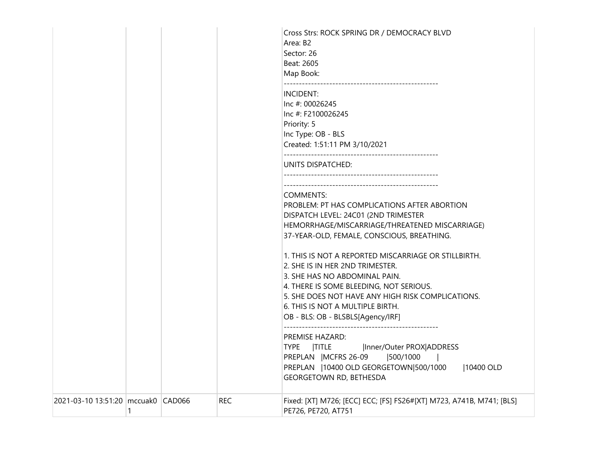|                                    |   |            | Area: B2<br>Sector: 26<br>Beat: 2605<br>Map Book:<br>INCIDENT:<br>Inc #: 00026245<br>Inc #: F2100026245<br>Priority: 5<br>Inc Type: OB - BLS<br>Created: 1:51:11 PM 3/10/2021<br>UNITS DISPATCHED:<br><b>COMMENTS:</b><br>PROBLEM: PT HAS COMPLICATIONS AFTER ABORTION<br>DISPATCH LEVEL: 24C01 (2ND TRIMESTER                                                                                                                                                                   |
|------------------------------------|---|------------|----------------------------------------------------------------------------------------------------------------------------------------------------------------------------------------------------------------------------------------------------------------------------------------------------------------------------------------------------------------------------------------------------------------------------------------------------------------------------------|
|                                    |   |            | HEMORRHAGE/MISCARRIAGE/THREATENED MISCARRIAGE)<br>37-YEAR-OLD, FEMALE, CONSCIOUS, BREATHING.<br>1. THIS IS NOT A REPORTED MISCARRIAGE OR STILLBIRTH.<br>2. SHE IS IN HER 2ND TRIMESTER.<br>3. SHE HAS NO ABDOMINAL PAIN.<br>4. THERE IS SOME BLEEDING, NOT SERIOUS.<br>5. SHE DOES NOT HAVE ANY HIGH RISK COMPLICATIONS.<br>6. THIS IS NOT A MULTIPLE BIRTH.<br>OB - BLS: OB - BLSBLS[Agency/IRF]<br>PREMISE HAZARD:<br><b>TYPE</b><br><b>TITLE</b><br> Inner/Outer PROX ADDRESS |
| 2021-03-10 13:51:20 mccuak0 CAD066 | 1 | <b>REC</b> | PREPLAN   MCFRS 26-09<br> 500/1000<br>PREPLAN   10400 OLD GEORGETOWN 500/1000<br> 10400 OLD<br>GEORGETOWN RD, BETHESDA<br>Fixed: [XT] M726; [ECC] ECC; [FS] FS26#[XT] M723, A741B, M741; [BLS]<br>PE726, PE720, AT751                                                                                                                                                                                                                                                            |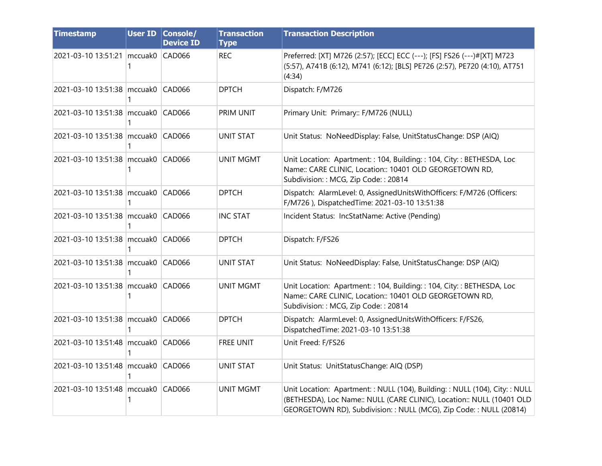| <b>Timestamp</b>                   |   | <b>User ID Console/</b><br><b>Device ID</b> | <b>Transaction</b><br><b>Type</b> | <b>Transaction Description</b>                                                                                                                                                                                          |
|------------------------------------|---|---------------------------------------------|-----------------------------------|-------------------------------------------------------------------------------------------------------------------------------------------------------------------------------------------------------------------------|
| 2021-03-10 13:51:21 mccuak0 CAD066 |   |                                             | <b>REC</b>                        | Preferred: [XT] M726 (2:57); [ECC] ECC (---); [FS] FS26 (---)#[XT] M723<br>(5:57), A741B (6:12), M741 (6:12); [BLS] PE726 (2:57), PE720 (4:10), AT751<br>(4:34)                                                         |
| 2021-03-10 13:51:38 mccuak0 CAD066 |   |                                             | <b>DPTCH</b>                      | Dispatch: F/M726                                                                                                                                                                                                        |
| 2021-03-10 13:51:38 mccuak0 CAD066 |   |                                             | PRIM UNIT                         | Primary Unit: Primary:: F/M726 (NULL)                                                                                                                                                                                   |
| 2021-03-10 13:51:38 mccuak0 CAD066 |   |                                             | <b>UNIT STAT</b>                  | Unit Status: NoNeedDisplay: False, UnitStatusChange: DSP (AIQ)                                                                                                                                                          |
| 2021-03-10 13:51:38 mccuak0 CAD066 |   |                                             | <b>UNIT MGMT</b>                  | Unit Location: Apartment:: 104, Building:: 104, City:: BETHESDA, Loc<br>Name:: CARE CLINIC, Location:: 10401 OLD GEORGETOWN RD,<br>Subdivision:: MCG, Zip Code:: 20814                                                  |
| 2021-03-10 13:51:38 mccuak0 CAD066 |   |                                             | <b>DPTCH</b>                      | Dispatch: AlarmLevel: 0, AssignedUnitsWithOfficers: F/M726 (Officers:<br>F/M726), DispatchedTime: 2021-03-10 13:51:38                                                                                                   |
| 2021-03-10 13:51:38 mccuak0 CAD066 |   |                                             | <b>INC STAT</b>                   | Incident Status: IncStatName: Active (Pending)                                                                                                                                                                          |
| 2021-03-10 13:51:38 mccuak0 CAD066 |   |                                             | <b>DPTCH</b>                      | Dispatch: F/FS26                                                                                                                                                                                                        |
| 2021-03-10 13:51:38 mccuak0 CAD066 |   |                                             | <b>UNIT STAT</b>                  | Unit Status: NoNeedDisplay: False, UnitStatusChange: DSP (AIQ)                                                                                                                                                          |
| 2021-03-10 13:51:38 mccuak0 CAD066 | 1 |                                             | <b>UNIT MGMT</b>                  | Unit Location: Apartment: : 104, Building: : 104, City: : BETHESDA, Loc<br>Name:: CARE CLINIC, Location:: 10401 OLD GEORGETOWN RD,<br>Subdivision:: MCG, Zip Code:: 20814                                               |
| 2021-03-10 13:51:38 mccuak0        | 1 | CAD066                                      | <b>DPTCH</b>                      | Dispatch: AlarmLevel: 0, AssignedUnitsWithOfficers: F/FS26,<br>DispatchedTime: 2021-03-10 13:51:38                                                                                                                      |
| 2021-03-10 13:51:48 mccuak0 CAD066 |   |                                             | <b>FREE UNIT</b>                  | Unit Freed: F/FS26                                                                                                                                                                                                      |
| 2021-03-10 13:51:48 mccuak0 CAD066 |   |                                             | <b>UNIT STAT</b>                  | Unit Status: UnitStatusChange: AIQ (DSP)                                                                                                                                                                                |
| 2021-03-10 13:51:48 mccuak0 CAD066 | 1 |                                             | <b>UNIT MGMT</b>                  | Unit Location: Apartment:: NULL (104), Building:: NULL (104), City:: NULL<br>(BETHESDA), Loc Name:: NULL (CARE CLINIC), Location:: NULL (10401 OLD<br>GEORGETOWN RD), Subdivision:: NULL (MCG), Zip Code:: NULL (20814) |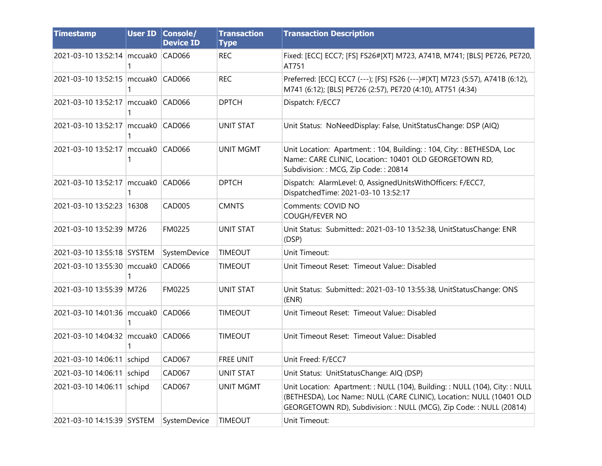| <b>Timestamp</b>                       | <b>User ID Console/</b><br><b>Device ID</b> | <b>Transaction</b><br><b>Type</b> | <b>Transaction Description</b>                                                                                                                                                                                          |
|----------------------------------------|---------------------------------------------|-----------------------------------|-------------------------------------------------------------------------------------------------------------------------------------------------------------------------------------------------------------------------|
| 2021-03-10 13:52:14   mccuak0   CAD066 |                                             | <b>REC</b>                        | Fixed: [ECC] ECC7; [FS] FS26#[XT] M723, A741B, M741; [BLS] PE726, PE720,<br>AT751                                                                                                                                       |
| 2021-03-10 13:52:15 mccuak0 CAD066     |                                             | <b>REC</b>                        | Preferred: [ECC] ECC7 (---); [FS] FS26 (---)#[XT] M723 (5:57), A741B (6:12),<br>M741 (6:12); [BLS] PE726 (2:57), PE720 (4:10), AT751 (4:34)                                                                             |
| 2021-03-10 13:52:17 mccuak0 CAD066     |                                             | <b>DPTCH</b>                      | Dispatch: F/ECC7                                                                                                                                                                                                        |
| 2021-03-10 13:52:17   mccuak0 CAD066   |                                             | <b>UNIT STAT</b>                  | Unit Status: NoNeedDisplay: False, UnitStatusChange: DSP (AIQ)                                                                                                                                                          |
| 2021-03-10 13:52:17 mccuak0 CAD066     |                                             | <b>UNIT MGMT</b>                  | Unit Location: Apartment:: 104, Building:: 104, City:: BETHESDA, Loc<br>Name:: CARE CLINIC, Location:: 10401 OLD GEORGETOWN RD,<br>Subdivision: : MCG, Zip Code: : 20814                                                |
| 2021-03-10 13:52:17 mccuak0            | CAD066                                      | <b>DPTCH</b>                      | Dispatch: AlarmLevel: 0, AssignedUnitsWithOfficers: F/ECC7,<br>DispatchedTime: 2021-03-10 13:52:17                                                                                                                      |
| 2021-03-10 13:52:23 16308              | <b>CAD005</b>                               | <b>CMNTS</b>                      | Comments: COVID NO<br>COUGH/FEVER NO                                                                                                                                                                                    |
| 2021-03-10 13:52:39 M726               | FM0225                                      | <b>UNIT STAT</b>                  | Unit Status: Submitted:: 2021-03-10 13:52:38, UnitStatusChange: ENR<br>(DSP)                                                                                                                                            |
| 2021-03-10 13:55:18 SYSTEM             | SystemDevice                                | <b>TIMEOUT</b>                    | Unit Timeout:                                                                                                                                                                                                           |
| 2021-03-10 13:55:30 mccuak0            | <b>CAD066</b>                               | <b>TIMEOUT</b>                    | Unit Timeout Reset: Timeout Value:: Disabled                                                                                                                                                                            |
| 2021-03-10 13:55:39 M726               | FM0225                                      | <b>UNIT STAT</b>                  | Unit Status: Submitted: 2021-03-10 13:55:38, UnitStatusChange: ONS<br>(ENR)                                                                                                                                             |
| 2021-03-10 14:01:36 mccuak0 CAD066     |                                             | <b>TIMEOUT</b>                    | Unit Timeout Reset: Timeout Value:: Disabled                                                                                                                                                                            |
| 2021-03-10 14:04:32 mccuak0 CAD066     |                                             | <b>TIMEOUT</b>                    | Unit Timeout Reset: Timeout Value: Disabled                                                                                                                                                                             |
| 2021-03-10 14:06:11 schipd             | <b>CAD067</b>                               | <b>FREE UNIT</b>                  | Unit Freed: F/ECC7                                                                                                                                                                                                      |
| 2021-03-10 14:06:11 schipd             | <b>CAD067</b>                               | <b>UNIT STAT</b>                  | Unit Status: UnitStatusChange: AIQ (DSP)                                                                                                                                                                                |
| 2021-03-10 14:06:11 schipd             | <b>CAD067</b>                               | <b>UNIT MGMT</b>                  | Unit Location: Apartment:: NULL (104), Building:: NULL (104), City:: NULL<br>(BETHESDA), Loc Name:: NULL (CARE CLINIC), Location:: NULL (10401 OLD<br>GEORGETOWN RD), Subdivision:: NULL (MCG), Zip Code:: NULL (20814) |
| 2021-03-10 14:15:39 SYSTEM             | SystemDevice                                | <b>TIMEOUT</b>                    | Unit Timeout:                                                                                                                                                                                                           |